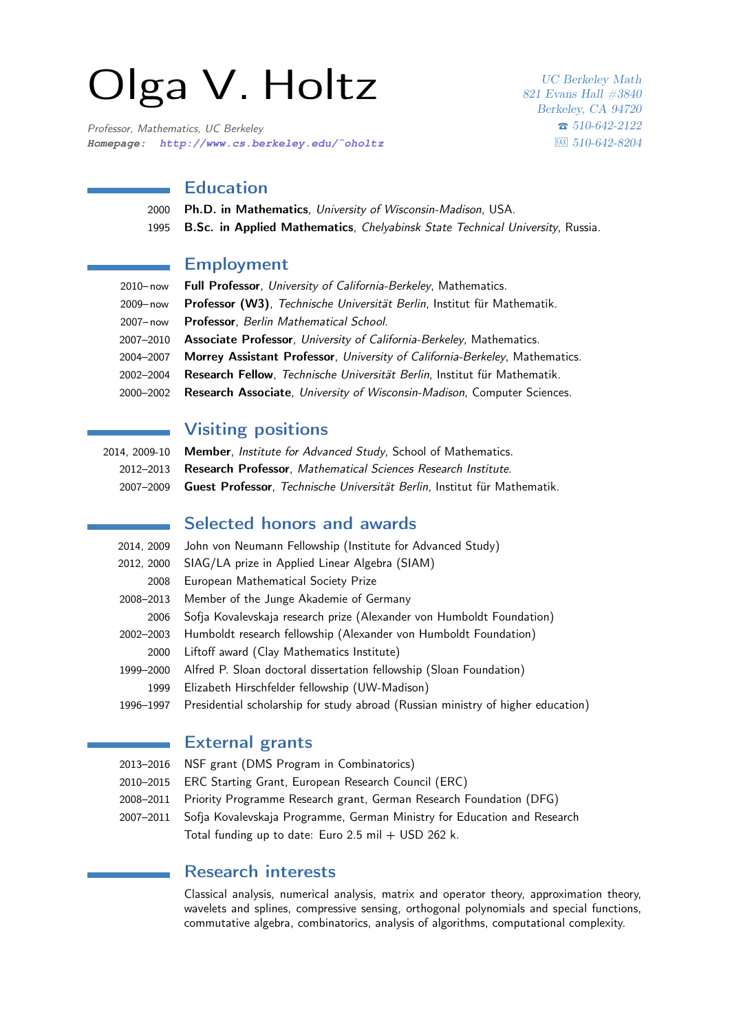# Olga V. Holtz

Professor, Mathematics, UC Berkeley **Homepage: [http://www.cs.berkeley.edu/˜oholtz](http://www.cs.berkeley.edu/~{}oholtz)**

UC Berkeley Math 821 Evans Hall #3840 Berkeley, CA 94720 T 510-642-2122  $|FAX|$  510-642-8204

## Education

2000 Ph.D. in Mathematics, University of Wisconsin-Madison, USA. 1995 B.Sc. in Applied Mathematics, Chelyabinsk State Technical University, Russia.

#### Employment

| 2010-now Full Professor, University of California-Berkeley, Mathematics.              |
|---------------------------------------------------------------------------------------|
| Professor (W3), Technische Universität Berlin, Institut für Mathematik.               |
| 2007-now Professor, Berlin Mathematical School.                                       |
| 2007-2010 Associate Professor, University of California-Berkeley, Mathematics.        |
| 2004-2007 Morrey Assistant Professor, University of California-Berkeley, Mathematics. |
| 2002-2004 Research Fellow, Technische Universität Berlin, Institut für Mathematik.    |
| 2000-2002 Research Associate, University of Wisconsin-Madison, Computer Sciences.     |
|                                                                                       |

# Visiting positions

2014, 2009-10 Member, Institute for Advanced Study, School of Mathematics. 2012–2013 Research Professor, Mathematical Sciences Research Institute. 2007–2009 Guest Professor, Technische Universität Berlin, Institut für Mathematik.

## Selected honors and awards

| 2014, 2009 | John von Neumann Fellowship (Institute for Advanced Study)                       |
|------------|----------------------------------------------------------------------------------|
| 2012, 2000 | SIAG/LA prize in Applied Linear Algebra (SIAM)                                   |
| 2008       | European Mathematical Society Prize                                              |
| 2008-2013  | Member of the Junge Akademie of Germany                                          |
| 2006       | Sofja Kovalevskaja research prize (Alexander von Humboldt Foundation)            |
| 2002-2003  | Humboldt research fellowship (Alexander von Humboldt Foundation)                 |
| 2000       | Liftoff award (Clay Mathematics Institute)                                       |
| 1999-2000  | Alfred P. Sloan doctoral dissertation fellowship (Sloan Foundation)              |
| 1999       | Elizabeth Hirschfelder fellowship (UW-Madison)                                   |
| 1996-1997  | Presidential scholarship for study abroad (Russian ministry of higher education) |

## External grants

- 2013–2016 NSF grant (DMS Program in Combinatorics)
- 2010–2015 ERC Starting Grant, European Research Council (ERC)
- 2008–2011 Priority Programme Research grant, German Research Foundation (DFG)
- 2007–2011 Sofja Kovalevskaja Programme, German Ministry for Education and Research Total funding up to date: Euro 2.5 mil  $+$  USD 262 k.

## Research interests

Classical analysis, numerical analysis, matrix and operator theory, approximation theory, wavelets and splines, compressive sensing, orthogonal polynomials and special functions, commutative algebra, combinatorics, analysis of algorithms, computational complexity.